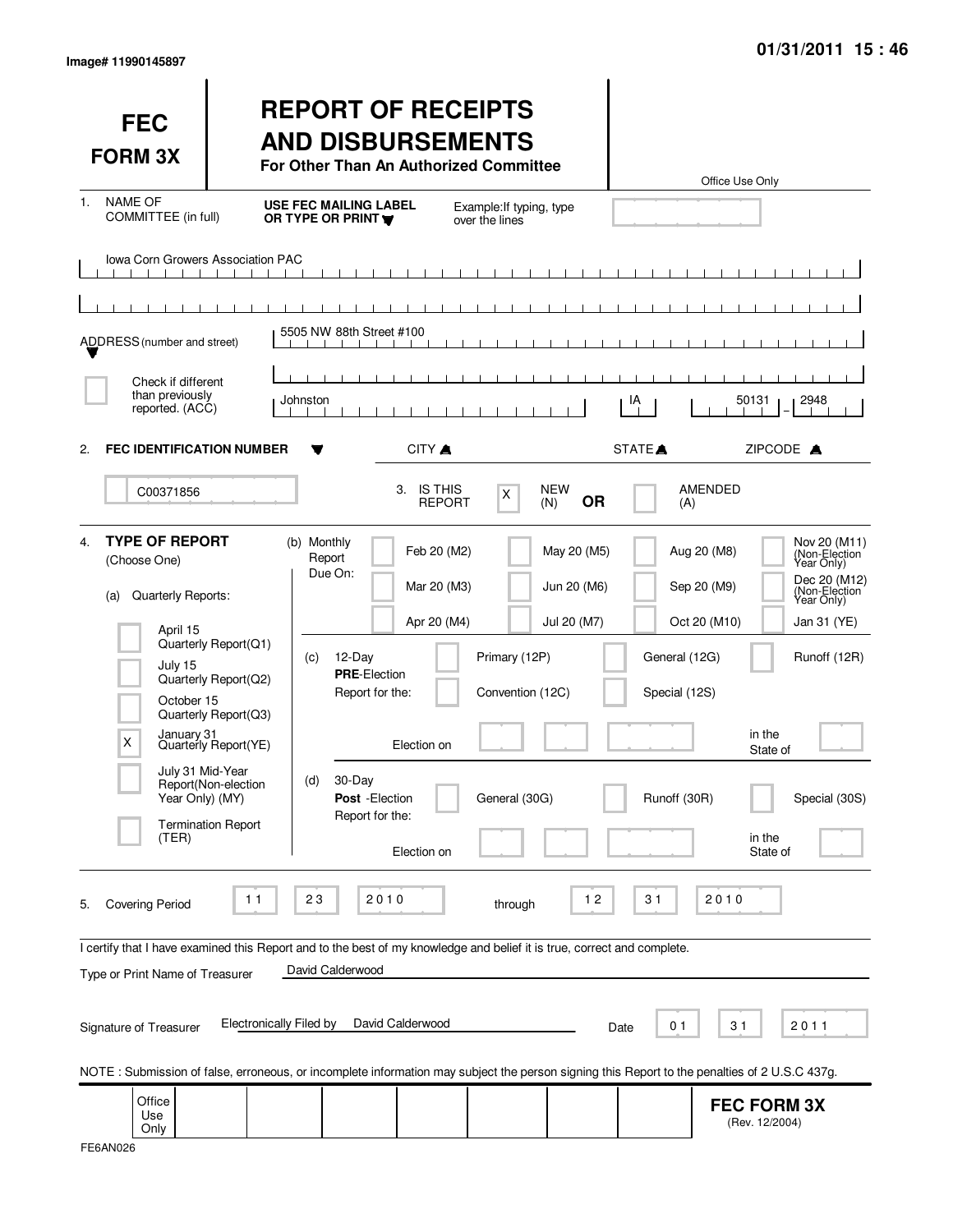| <b>FEC</b><br><b>FORM 3X</b>                                                                                                                                                   |                                                                                                                                                                | <b>REPORT OF RECEIPTS</b><br><b>AND DISBURSEMENTS</b><br>For Other Than An Authorized Committee                                                    |                                                                         |                                                    |                                           |                                                | Office Use Only                                                                        |                                                                                                                                            |
|--------------------------------------------------------------------------------------------------------------------------------------------------------------------------------|----------------------------------------------------------------------------------------------------------------------------------------------------------------|----------------------------------------------------------------------------------------------------------------------------------------------------|-------------------------------------------------------------------------|----------------------------------------------------|-------------------------------------------|------------------------------------------------|----------------------------------------------------------------------------------------|--------------------------------------------------------------------------------------------------------------------------------------------|
| <b>NAME OF</b><br>$1_{-}$<br>COMMITTEE (in full)                                                                                                                               |                                                                                                                                                                | <b>USE FEC MAILING LABEL</b><br>OR TYPE OR PRINT                                                                                                   |                                                                         | Example: If typing, type<br>over the lines         |                                           |                                                |                                                                                        |                                                                                                                                            |
| <b>Iowa Corn Growers Association PAC</b><br>ADDRESS (number and street)<br>Check if different                                                                                  |                                                                                                                                                                | 5505 NW 88th Street #100                                                                                                                           |                                                                         | <b>TELESCOPE</b>                                   |                                           |                                                |                                                                                        |                                                                                                                                            |
| than previously<br>reported. (ACC)                                                                                                                                             |                                                                                                                                                                | Johnston                                                                                                                                           |                                                                         |                                                    |                                           | IA                                             | 50131                                                                                  | 2948                                                                                                                                       |
| <b>FEC IDENTIFICATION NUMBER</b><br>2.                                                                                                                                         |                                                                                                                                                                |                                                                                                                                                    | CITY ▲                                                                  |                                                    |                                           | STATE <sup>A</sup>                             | ZIPCODE A                                                                              |                                                                                                                                            |
| C00371856                                                                                                                                                                      |                                                                                                                                                                |                                                                                                                                                    | <b>IS THIS</b><br>3.<br><b>REPORT</b>                                   | X                                                  | <b>NEW</b><br><b>OR</b><br>(N)            | (A)                                            | <b>AMENDED</b>                                                                         |                                                                                                                                            |
| <b>TYPE OF REPORT</b><br>4 <sup>1</sup><br>(Choose One)<br>Quarterly Reports:<br>(a)<br>April 15<br>July 15<br>October 15<br>X<br>July 31 Mid-Year<br>Year Only) (MY)<br>(TER) | Quarterly Report(Q1)<br>Quarterly Report(Q2)<br>Quarterly Report(Q3)<br>January 31<br>Quarterly Report(YE)<br>Report(Non-election<br><b>Termination Report</b> | (b) Monthly<br>Report<br>Due On:<br>12-Day<br>(C)<br><b>PRE-Election</b><br>Report for the:<br>30-Day<br>(d)<br>Post - Election<br>Report for the: | Feb 20 (M2)<br>Mar 20 (M3)<br>Apr 20 (M4)<br>Election on<br>Election on | Primary (12P)<br>Convention (12C)<br>General (30G) | May 20 (M5)<br>Jun 20 (M6)<br>Jul 20 (M7) | General (12G)<br>Special (12S)<br>Runoff (30R) | Aug 20 (M8)<br>Sep 20 (M9)<br>Oct 20 (M10)<br>in the<br>State of<br>in the<br>State of | Nov 20 (M11)<br>(Non-Election<br>Year Only)<br>Dec 20 (M12)<br>(Non-Election<br>Year Only)<br>Jan 31 (YE)<br>Runoff (12R)<br>Special (30S) |
| <b>Covering Period</b><br>5.<br>I certify that I have examined this Report and to the best of my knowledge and belief it is true, correct and complete.                        | 11                                                                                                                                                             | 23<br>2010                                                                                                                                         |                                                                         | through                                            | $12$                                      | 31                                             | 2010                                                                                   |                                                                                                                                            |
| Type or Print Name of Treasurer                                                                                                                                                |                                                                                                                                                                | David Calderwood                                                                                                                                   |                                                                         |                                                    |                                           |                                                |                                                                                        |                                                                                                                                            |
| Signature of Treasurer                                                                                                                                                         | <b>Electronically Filed by</b>                                                                                                                                 |                                                                                                                                                    | David Calderwood                                                        |                                                    |                                           | 01<br>Date                                     | 31                                                                                     | 2011                                                                                                                                       |
| NOTE: Submission of false, erroneous, or incomplete information may subject the person signing this Report to the penalties of 2 U.S.C 437g.                                   |                                                                                                                                                                |                                                                                                                                                    |                                                                         |                                                    |                                           |                                                |                                                                                        |                                                                                                                                            |
| Office<br>Use<br>Only                                                                                                                                                          |                                                                                                                                                                |                                                                                                                                                    |                                                                         |                                                    |                                           |                                                | <b>FEC FORM 3X</b><br>(Rev. 12/2004)                                                   |                                                                                                                                            |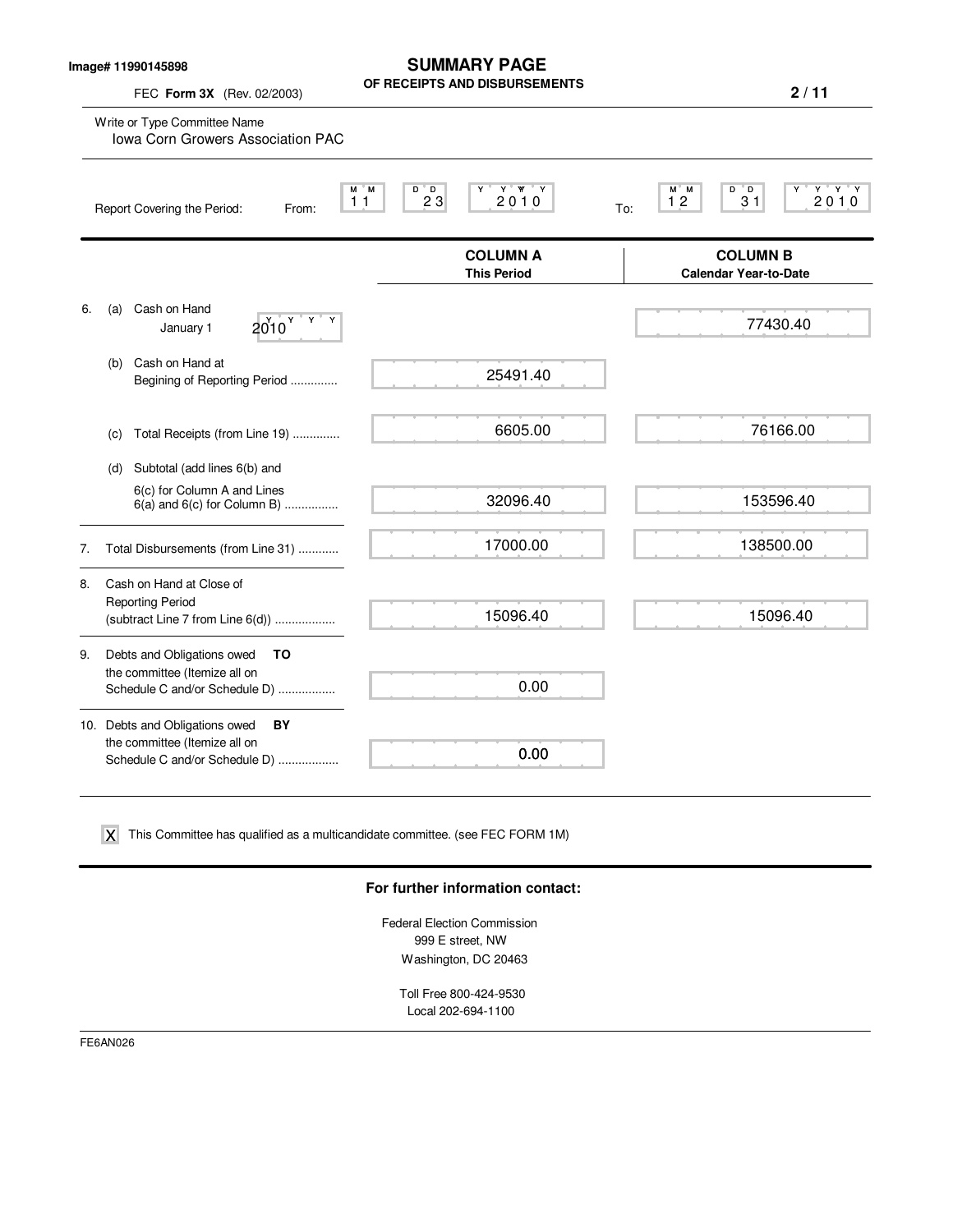|  | Image# 11990145898 |
|--|--------------------|
|--|--------------------|

FEC **Form 3X** (Rev. 02/2003)

**SUMMARY PAGE OF RECEIPTS AND DISBURSEMENTS**

**2 / 11**

|    | Write or Type Committee Name<br>Iowa Corn Growers Association PAC                                      |                                       |                                                           |
|----|--------------------------------------------------------------------------------------------------------|---------------------------------------|-----------------------------------------------------------|
|    | M M<br>11<br>Report Covering the Period:<br>From:                                                      | Y Y Y<br>D D<br>Y<br>23<br>2010       | M M<br>$Y$ $Y$ $Y$<br>D D<br>Y<br>12<br>2010<br>31<br>To: |
|    |                                                                                                        | <b>COLUMN A</b><br><b>This Period</b> | <b>COLUMN B</b><br><b>Calendar Year-to-Date</b>           |
| 6. | Cash on Hand<br>(a)<br>$2010$ $\frac{9}{10}$<br>January 1                                              |                                       | 77430.40                                                  |
|    | Cash on Hand at<br>(b)<br>Begining of Reporting Period                                                 | 25491.40                              |                                                           |
|    | Total Receipts (from Line 19)<br>(c)                                                                   | 6605.00                               | 76166.00                                                  |
|    | Subtotal (add lines 6(b) and<br>(d)                                                                    |                                       |                                                           |
|    | 6(c) for Column A and Lines<br>$6(a)$ and $6(c)$ for Column B)                                         | 32096.40                              | 153596.40                                                 |
| 7. | Total Disbursements (from Line 31)                                                                     | 17000.00                              | 138500.00                                                 |
| 8. | Cash on Hand at Close of<br><b>Reporting Period</b><br>(subtract Line 7 from Line 6(d))                | 15096.40                              | 15096.40                                                  |
| 9. | Debts and Obligations owed<br>TO<br>the committee (Itemize all on<br>Schedule C and/or Schedule D)     | 0.00                                  |                                                           |
|    | 10. Debts and Obligations owed<br>BY<br>the committee (Itemize all on<br>Schedule C and/or Schedule D) | 0.00                                  |                                                           |

 $\boldsymbol{\mathsf{X}}$  This Committee has qualified as a multicandidate committee. (see FEC FORM 1M)

#### **For further information contact:**

Federal Election Commission 999 E street, NW Washington, DC 20463

Toll Free 800-424-9530 Local 202-694-1100

FE6AN026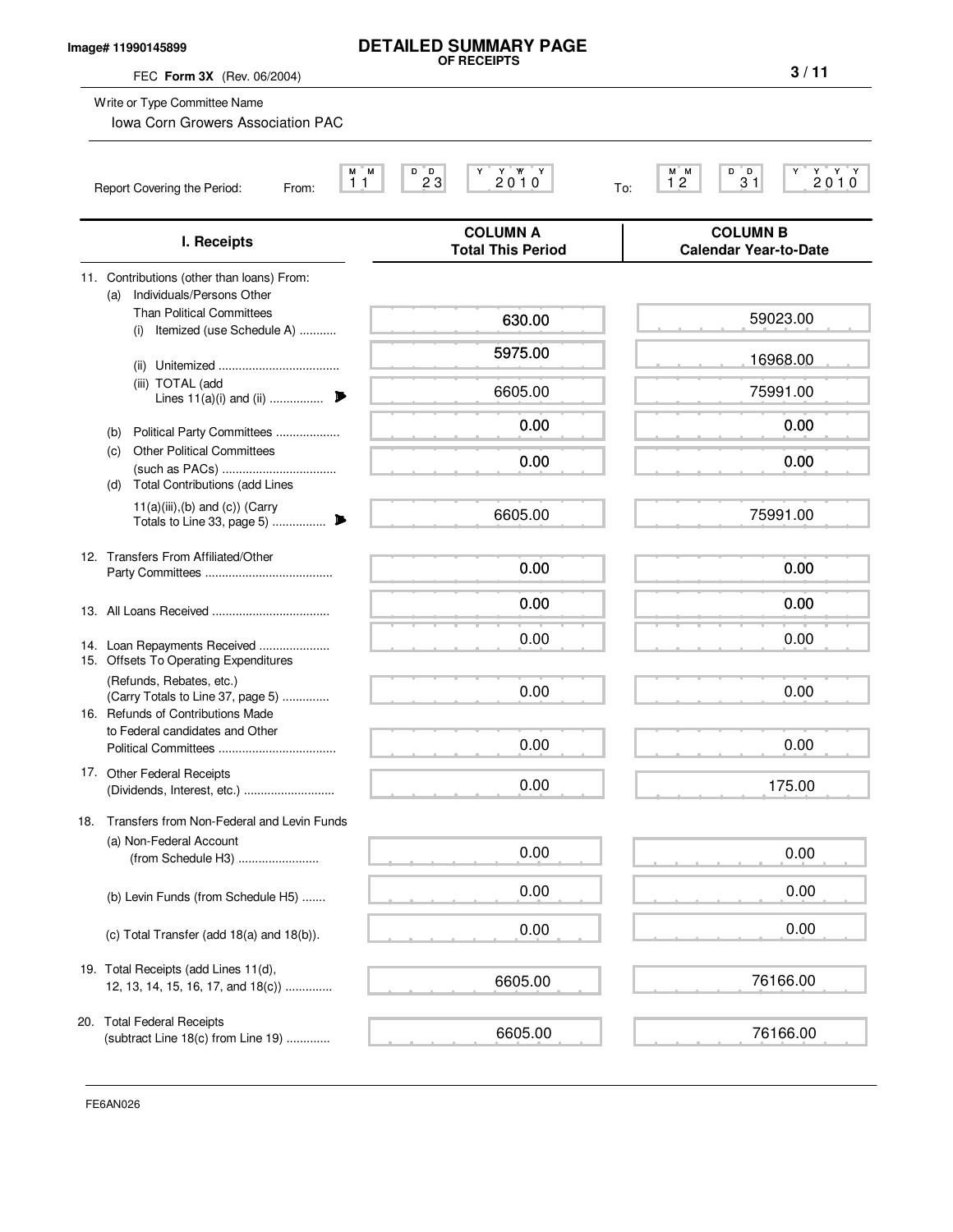### **Image# 11990145899**

# **DETAILED SUMMARY PAGE OF RECEIPTS**

FEC **Form 3X** (Rev. 06/2004)

**3 / 11**

|                            | Write or Type Committee Name<br><b>Iowa Corn Growers Association PAC</b>                                                                                                                                                                                            |                                              |                                                                                                                                                                     |
|----------------------------|---------------------------------------------------------------------------------------------------------------------------------------------------------------------------------------------------------------------------------------------------------------------|----------------------------------------------|---------------------------------------------------------------------------------------------------------------------------------------------------------------------|
|                            | М<br>M<br>11<br>Report Covering the Period:<br>From:                                                                                                                                                                                                                | 2010<br>D<br>$2^{D}3$                        | $\begin{array}{c} \mathbf{Y} \quad \mathbf{Y} \quad \mathbf{Y} \\ \mathbf{2} \mathbf{0} \mathbf{1} \mathbf{0} \end{array}$<br>мим<br>12<br>D<br>$3^{\circ}1$<br>To: |
|                            | I. Receipts                                                                                                                                                                                                                                                         | <b>COLUMN A</b><br><b>Total This Period</b>  | <b>COLUMN B</b><br><b>Calendar Year-to-Date</b>                                                                                                                     |
| (a)<br>(i)<br>(b)<br>(c)   | 11. Contributions (other than loans) From:<br>Individuals/Persons Other<br><b>Than Political Committees</b><br>Itemized (use Schedule A)<br>(iii) TOTAL (add<br>Lines $11(a)(i)$ and $(ii)$<br>₱<br>Political Party Committees<br><b>Other Political Committees</b> | 630.00<br>5975.00<br>6605.00<br>0.00<br>0.00 | 59023.00<br>16968.00<br>75991.00<br>0.00<br>0.00                                                                                                                    |
| (d)                        | <b>Total Contributions (add Lines</b><br>$11(a)(iii),(b)$ and $(c)$ ) (Carry<br>Totals to Line 33, page 5)<br>▶                                                                                                                                                     | 6605.00                                      | 75991.00                                                                                                                                                            |
|                            | 12. Transfers From Affiliated/Other                                                                                                                                                                                                                                 | 0.00<br>0.00                                 | 0.00<br>0.00                                                                                                                                                        |
|                            | 14. Loan Repayments Received<br>15. Offsets To Operating Expenditures                                                                                                                                                                                               | 0.00                                         | 0.00                                                                                                                                                                |
|                            | (Refunds, Rebates, etc.)<br>(Carry Totals to Line 37, page 5)<br>16. Refunds of Contributions Made<br>to Federal candidates and Other                                                                                                                               | 0.00<br>0.00                                 | 0.00<br>0.00                                                                                                                                                        |
| 17. Other Federal Receipts |                                                                                                                                                                                                                                                                     | 0.00                                         | 175.00                                                                                                                                                              |
| 18.                        | Transfers from Non-Federal and Levin Funds<br>(a) Non-Federal Account<br>(from Schedule H3)                                                                                                                                                                         | 0.00                                         | 0.00                                                                                                                                                                |
|                            | (b) Levin Funds (from Schedule H5)                                                                                                                                                                                                                                  | 0.00                                         | 0.00                                                                                                                                                                |
|                            | (c) Total Transfer (add $18(a)$ and $18(b)$ ).                                                                                                                                                                                                                      | 0.00                                         | 0.00                                                                                                                                                                |
|                            | 19. Total Receipts (add Lines 11(d),<br>12, 13, 14, 15, 16, 17, and 18(c))                                                                                                                                                                                          | 6605.00                                      | 76166.00                                                                                                                                                            |
| 20. Total Federal Receipts | (subtract Line 18(c) from Line 19)                                                                                                                                                                                                                                  | 6605.00                                      | 76166.00                                                                                                                                                            |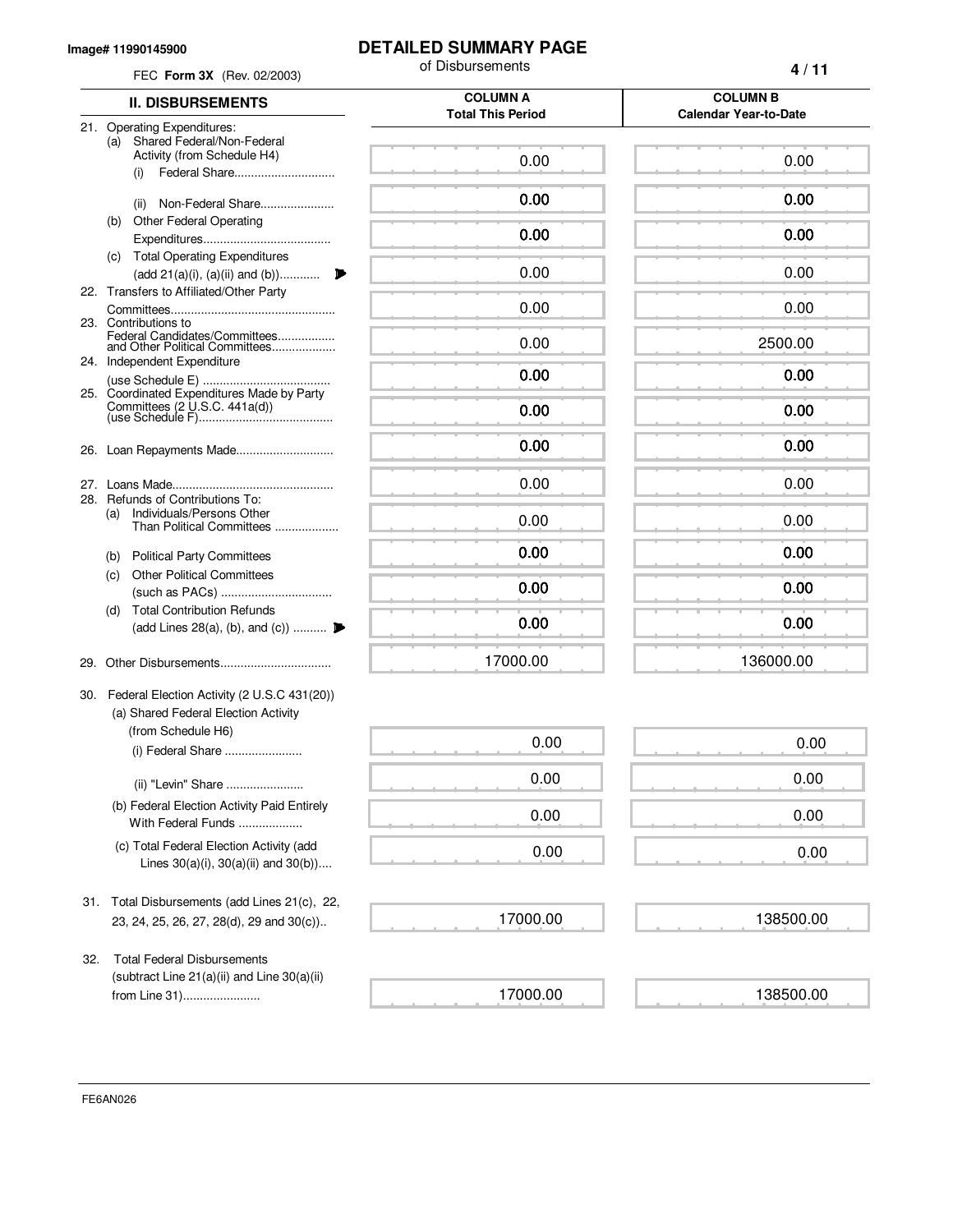#### **Image# 11990145900**

## **DETAILED SUMMARY PAGE**

|     | FEC Form 3X (Rev. 02/2003)                                                                                              | of Disbursements                            | 4/11                                            |
|-----|-------------------------------------------------------------------------------------------------------------------------|---------------------------------------------|-------------------------------------------------|
|     | <b>II. DISBURSEMENTS</b>                                                                                                | <b>COLUMN A</b><br><b>Total This Period</b> | <b>COLUMN B</b><br><b>Calendar Year-to-Date</b> |
|     | 21. Operating Expenditures:<br>Shared Federal/Non-Federal<br>(a)<br>Activity (from Schedule H4)<br>Federal Share<br>(i) | 0.00                                        | 0.00                                            |
|     | Non-Federal Share<br>(ii)                                                                                               | 0.00                                        | 0.00                                            |
|     | <b>Other Federal Operating</b><br>(b)                                                                                   | 0.00                                        | 0.00                                            |
|     | <b>Total Operating Expenditures</b><br>(c)<br>$(\text{add } 21(a)(i), (a)(ii) \text{ and } (b)) \dots \dots \dots$<br>₽ | 0.00                                        | 0.00                                            |
|     | 22. Transfers to Affiliated/Other Party                                                                                 | 0.00                                        | 0.00                                            |
|     | 23. Contributions to<br>Federal Candidates/Committees<br>and Other Political Committees                                 | 0.00                                        | 2500.00                                         |
|     | 24. Independent Expenditure                                                                                             | 0.00                                        | 0.00                                            |
|     | 25. Coordinated Expenditures Made by Party                                                                              | 0.00                                        | 0.00                                            |
| 26. | Loan Repayments Made                                                                                                    | 0.00                                        | 0.00                                            |
| 27. |                                                                                                                         | 0.00                                        | 0.00                                            |
|     | 28. Refunds of Contributions To:<br>Individuals/Persons Other<br>(a)<br>Than Political Committees                       | 0.00                                        | 0.00                                            |
|     | <b>Political Party Committees</b><br>(b)                                                                                | 0.00                                        | 0.00                                            |
|     | <b>Other Political Committees</b><br>(C)                                                                                | 0.00                                        | 0.00                                            |
|     | <b>Total Contribution Refunds</b><br>(d)<br>(add Lines 28(a), (b), and (c))                                             | 0.00                                        | 0.00                                            |
|     |                                                                                                                         | 17000.00                                    | 136000.00                                       |
|     | 30. Federal Election Activity (2 U.S.C 431(20))<br>(a) Shared Federal Election Activity                                 |                                             |                                                 |
|     | (from Schedule H6)<br>(i) Federal Share                                                                                 | 0.00                                        | 0.00                                            |
|     | (ii) "Levin" Share                                                                                                      | 0.00                                        | 0.00                                            |
|     | (b) Federal Election Activity Paid Entirely<br>With Federal Funds                                                       | 0.00                                        | 0.00                                            |
|     | (c) Total Federal Election Activity (add<br>Lines $30(a)(i)$ , $30(a)(ii)$ and $30(b)$ )                                | 0.00                                        | 0.00                                            |
| 31. | Total Disbursements (add Lines 21(c), 22,<br>23, 24, 25, 26, 27, 28(d), 29 and 30(c))                                   | 17000.00                                    | 138500.00                                       |
| 32. | <b>Total Federal Disbursements</b>                                                                                      |                                             |                                                 |
|     | (subtract Line 21(a)(ii) and Line 30(a)(ii)<br>from Line 31)                                                            | 17000.00                                    | 138500.00                                       |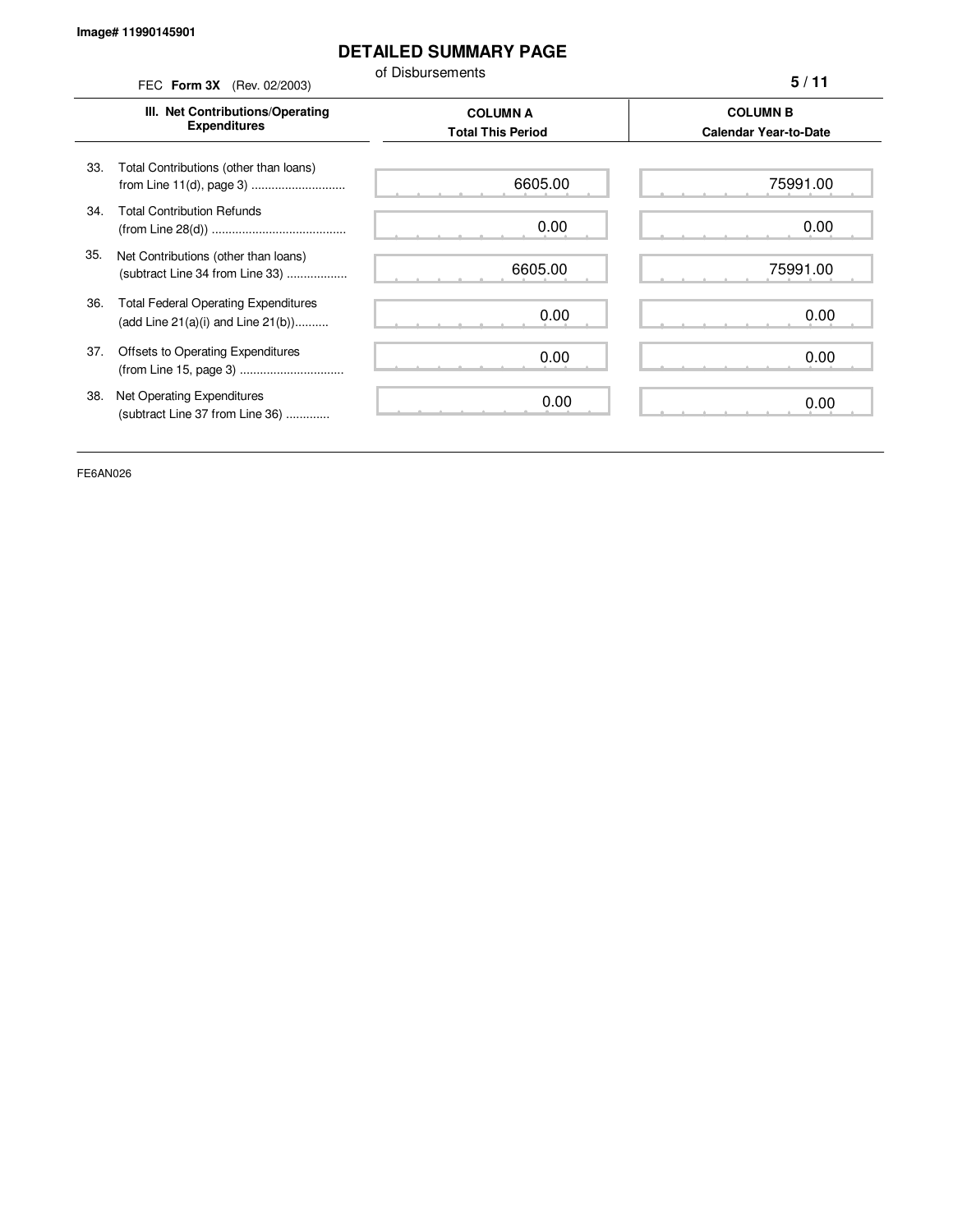### **DETAILED SUMMARY PAGE**

of Disbursements FEC **Form 3X** (Rev. 02/2003)

**5 / 11**

|     | III. Net Contributions/Operating<br><b>Expenditures</b>                                | <b>COLUMN A</b><br><b>Total This Period</b> | <b>COLUMN B</b><br><b>Calendar Year-to-Date</b> |
|-----|----------------------------------------------------------------------------------------|---------------------------------------------|-------------------------------------------------|
| 33. | Total Contributions (other than loans)                                                 | 6605.00                                     | 75991.00                                        |
| 34. | <b>Total Contribution Refunds</b>                                                      | 0.00                                        | 0.00                                            |
| 35. | Net Contributions (other than loans)<br>(subtract Line 34 from Line 33)                | 6605.00                                     | 75991.00                                        |
| 36. | <b>Total Federal Operating Expenditures</b><br>(add Line $21(a)(i)$ and Line $21(b)$ ) | 0.00                                        | 0.00                                            |
| 37. | Offsets to Operating Expenditures                                                      | 0.00                                        | 0.00                                            |
| 38. | Net Operating Expenditures<br>(subtract Line 37 from Line 36)                          | 0.00                                        | 0.00                                            |

FE6AN026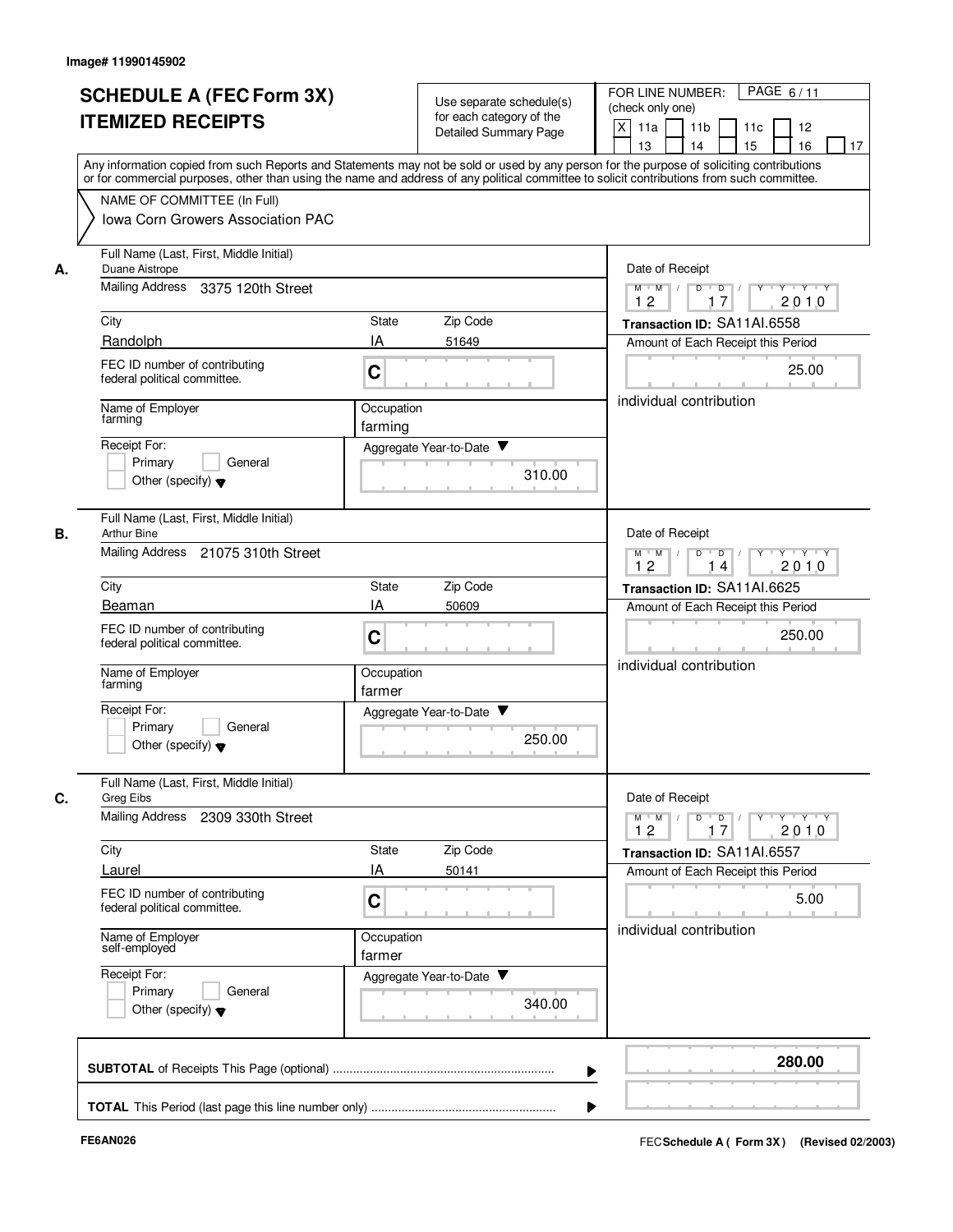|                          | <b>SCHEDULE A (FEC Form 3X)</b>                                                                                                                                           |                      |                                                      | PAGE 6/11<br>FOR LINE NUMBER:                                            |  |  |  |  |  |  |  |
|--------------------------|---------------------------------------------------------------------------------------------------------------------------------------------------------------------------|----------------------|------------------------------------------------------|--------------------------------------------------------------------------|--|--|--|--|--|--|--|
| <b>ITEMIZED RECEIPTS</b> |                                                                                                                                                                           |                      | Use separate schedule(s)<br>for each category of the | (check only one)                                                         |  |  |  |  |  |  |  |
|                          |                                                                                                                                                                           |                      | <b>Detailed Summary Page</b>                         | X<br>11a<br>11 <sub>b</sub><br>12<br>11c                                 |  |  |  |  |  |  |  |
|                          | Any information copied from such Reports and Statements may not be sold or used by any person for the purpose of soliciting contributions                                 |                      |                                                      | 16<br>13<br>14<br>15<br>17                                               |  |  |  |  |  |  |  |
|                          | or for commercial purposes, other than using the name and address of any political committee to solicit contributions from such committee.<br>NAME OF COMMITTEE (In Full) |                      |                                                      |                                                                          |  |  |  |  |  |  |  |
|                          | <b>Iowa Corn Growers Association PAC</b>                                                                                                                                  |                      |                                                      |                                                                          |  |  |  |  |  |  |  |
|                          |                                                                                                                                                                           |                      |                                                      |                                                                          |  |  |  |  |  |  |  |
| А.                       | Full Name (Last, First, Middle Initial)<br>Duane Aistrope                                                                                                                 |                      |                                                      | Date of Receipt                                                          |  |  |  |  |  |  |  |
|                          | Mailing Address<br>3375 120th Street                                                                                                                                      |                      |                                                      | $Y - Y - Y$<br>$M$ $M$ /<br>D<br>$\overline{D}$<br>Y<br>17<br>2010<br>12 |  |  |  |  |  |  |  |
|                          | City                                                                                                                                                                      | State                | Zip Code                                             | Transaction ID: SA11AI.6558                                              |  |  |  |  |  |  |  |
|                          | Randolph                                                                                                                                                                  | IA                   | 51649                                                | Amount of Each Receipt this Period                                       |  |  |  |  |  |  |  |
|                          | FEC ID number of contributing<br>federal political committee.                                                                                                             | C                    |                                                      | 25.00                                                                    |  |  |  |  |  |  |  |
|                          | Name of Employer<br>farming                                                                                                                                               | Occupation           |                                                      | individual contribution                                                  |  |  |  |  |  |  |  |
|                          | Receipt For:                                                                                                                                                              | farming              | Aggregate Year-to-Date ▼                             |                                                                          |  |  |  |  |  |  |  |
|                          | Primary<br>General                                                                                                                                                        |                      | 310.00                                               |                                                                          |  |  |  |  |  |  |  |
|                          | Other (specify) $\blacktriangledown$                                                                                                                                      |                      |                                                      |                                                                          |  |  |  |  |  |  |  |
| В.                       | Full Name (Last, First, Middle Initial)<br><b>Arthur Bine</b>                                                                                                             |                      |                                                      | Date of Receipt                                                          |  |  |  |  |  |  |  |
|                          | Mailing Address 21075 310th Street                                                                                                                                        |                      |                                                      | $Y - Y - Y$<br>$M$ $M$ /<br>D<br>$D$ /<br>12<br>2010<br>14               |  |  |  |  |  |  |  |
|                          | City                                                                                                                                                                      | State                | Zip Code                                             | Transaction ID: SA11AI.6625                                              |  |  |  |  |  |  |  |
|                          | Beaman                                                                                                                                                                    | IA                   | 50609                                                | Amount of Each Receipt this Period                                       |  |  |  |  |  |  |  |
|                          | FEC ID number of contributing<br>federal political committee.                                                                                                             | C                    |                                                      | 250.00                                                                   |  |  |  |  |  |  |  |
|                          | Name of Employer<br>farming                                                                                                                                               | Occupation<br>farmer |                                                      | individual contribution                                                  |  |  |  |  |  |  |  |
|                          | Receipt For:                                                                                                                                                              |                      | Aggregate Year-to-Date ▼                             |                                                                          |  |  |  |  |  |  |  |
|                          | Primary<br>General                                                                                                                                                        |                      | 250.00                                               |                                                                          |  |  |  |  |  |  |  |
|                          | Other (specify) $\blacktriangledown$                                                                                                                                      |                      |                                                      |                                                                          |  |  |  |  |  |  |  |
| С.                       | Full Name (Last, First, Middle Initial)<br>Greg Eibs                                                                                                                      |                      |                                                      | Date of Receipt                                                          |  |  |  |  |  |  |  |
|                          | <b>Mailing Address</b><br>2309 330th Street                                                                                                                               |                      |                                                      | $Y - Y - Y$<br>$M$ $M$<br>$D$ $D$ $I$<br>$Y^+$<br>2010<br>12<br>17       |  |  |  |  |  |  |  |
|                          | City                                                                                                                                                                      | State                | Zip Code                                             | Transaction ID: SA11AI.6557                                              |  |  |  |  |  |  |  |
|                          | Laurel                                                                                                                                                                    | IA                   | 50141                                                | Amount of Each Receipt this Period                                       |  |  |  |  |  |  |  |
|                          | FEC ID number of contributing<br>federal political committee.                                                                                                             | C                    |                                                      | 5.00                                                                     |  |  |  |  |  |  |  |
|                          | Name of Employer<br>self-employed                                                                                                                                         | Occupation<br>farmer |                                                      | individual contribution                                                  |  |  |  |  |  |  |  |
|                          | Receipt For:                                                                                                                                                              |                      | Aggregate Year-to-Date                               |                                                                          |  |  |  |  |  |  |  |
|                          | Primary<br>General<br>Other (specify) $\blacktriangledown$                                                                                                                |                      | 340.00                                               |                                                                          |  |  |  |  |  |  |  |
|                          |                                                                                                                                                                           |                      |                                                      |                                                                          |  |  |  |  |  |  |  |
|                          |                                                                                                                                                                           |                      |                                                      | 280.00                                                                   |  |  |  |  |  |  |  |
|                          |                                                                                                                                                                           |                      |                                                      |                                                                          |  |  |  |  |  |  |  |
|                          |                                                                                                                                                                           |                      |                                                      |                                                                          |  |  |  |  |  |  |  |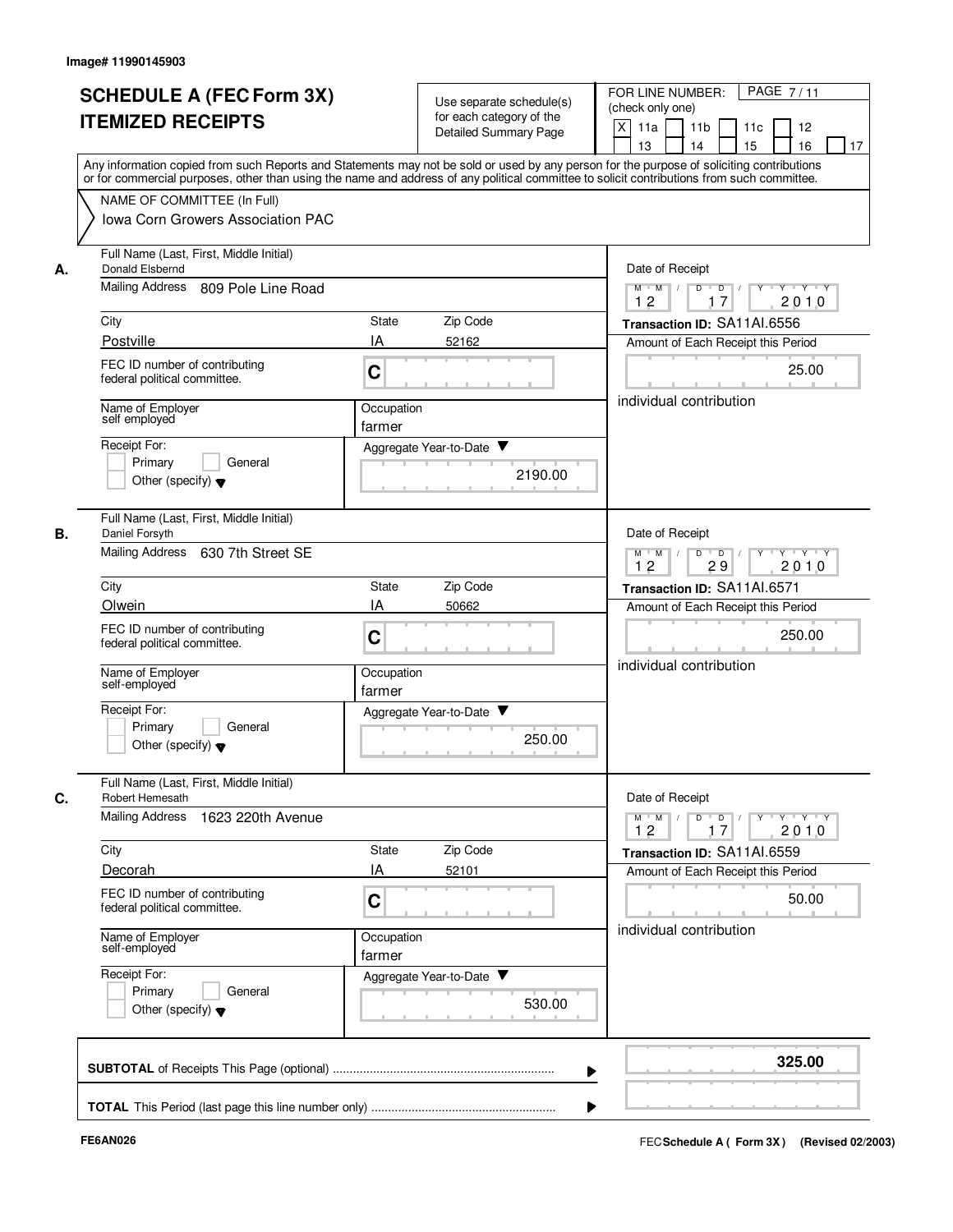|                                 |                                                                                                                                                                                                                                                                                         |                      |                                                      | PAGE 7/11<br>FOR LINE NUMBER:                                     |  |  |  |  |  |  |  |
|---------------------------------|-----------------------------------------------------------------------------------------------------------------------------------------------------------------------------------------------------------------------------------------------------------------------------------------|----------------------|------------------------------------------------------|-------------------------------------------------------------------|--|--|--|--|--|--|--|
| <b>SCHEDULE A (FEC Form 3X)</b> |                                                                                                                                                                                                                                                                                         |                      | Use separate schedule(s)<br>for each category of the | (check only one)                                                  |  |  |  |  |  |  |  |
|                                 | <b>ITEMIZED RECEIPTS</b>                                                                                                                                                                                                                                                                |                      | <b>Detailed Summary Page</b>                         | X<br>11a<br>11 <sub>b</sub><br>12<br>11c                          |  |  |  |  |  |  |  |
|                                 |                                                                                                                                                                                                                                                                                         |                      |                                                      | 16<br>13<br>14<br>15<br>17                                        |  |  |  |  |  |  |  |
|                                 | Any information copied from such Reports and Statements may not be sold or used by any person for the purpose of soliciting contributions<br>or for commercial purposes, other than using the name and address of any political committee to solicit contributions from such committee. |                      |                                                      |                                                                   |  |  |  |  |  |  |  |
|                                 | NAME OF COMMITTEE (In Full)                                                                                                                                                                                                                                                             |                      |                                                      |                                                                   |  |  |  |  |  |  |  |
|                                 | <b>Iowa Corn Growers Association PAC</b>                                                                                                                                                                                                                                                |                      |                                                      |                                                                   |  |  |  |  |  |  |  |
|                                 |                                                                                                                                                                                                                                                                                         |                      |                                                      |                                                                   |  |  |  |  |  |  |  |
| А.                              | Full Name (Last, First, Middle Initial)<br>Donald Elsbernd                                                                                                                                                                                                                              |                      |                                                      | Date of Receipt                                                   |  |  |  |  |  |  |  |
|                                 | Mailing Address<br>809 Pole Line Road                                                                                                                                                                                                                                                   |                      |                                                      | $Y - Y - Y$<br>$M$ $M$ /<br>D<br>$\overline{D}$<br>Y              |  |  |  |  |  |  |  |
|                                 |                                                                                                                                                                                                                                                                                         |                      |                                                      | 17<br>2010<br>12                                                  |  |  |  |  |  |  |  |
|                                 | City<br>Postville                                                                                                                                                                                                                                                                       | State<br>IA          | Zip Code<br>52162                                    | Transaction ID: SA11AI.6556<br>Amount of Each Receipt this Period |  |  |  |  |  |  |  |
|                                 |                                                                                                                                                                                                                                                                                         |                      |                                                      |                                                                   |  |  |  |  |  |  |  |
|                                 | FEC ID number of contributing<br>federal political committee.                                                                                                                                                                                                                           | C                    |                                                      | 25.00                                                             |  |  |  |  |  |  |  |
|                                 |                                                                                                                                                                                                                                                                                         |                      |                                                      | individual contribution                                           |  |  |  |  |  |  |  |
|                                 | Name of Employer<br>self employed                                                                                                                                                                                                                                                       | Occupation<br>farmer |                                                      |                                                                   |  |  |  |  |  |  |  |
|                                 | Receipt For:                                                                                                                                                                                                                                                                            |                      | Aggregate Year-to-Date ▼                             |                                                                   |  |  |  |  |  |  |  |
|                                 | General<br>Primary                                                                                                                                                                                                                                                                      |                      | 2190.00                                              |                                                                   |  |  |  |  |  |  |  |
|                                 | Other (specify) $\blacktriangledown$                                                                                                                                                                                                                                                    |                      |                                                      |                                                                   |  |  |  |  |  |  |  |
|                                 | Full Name (Last, First, Middle Initial)                                                                                                                                                                                                                                                 |                      |                                                      |                                                                   |  |  |  |  |  |  |  |
| В.                              | Daniel Forsyth                                                                                                                                                                                                                                                                          |                      |                                                      | Date of Receipt                                                   |  |  |  |  |  |  |  |
|                                 | Mailing Address<br>630 7th Street SE                                                                                                                                                                                                                                                    |                      |                                                      | $M$ $M$ /<br>D<br>$\overline{D}$ /<br>$Y + Y + Y$                 |  |  |  |  |  |  |  |
|                                 | City                                                                                                                                                                                                                                                                                    | State                | Zip Code                                             | 12<br>29<br>2010                                                  |  |  |  |  |  |  |  |
|                                 | Olwein                                                                                                                                                                                                                                                                                  | IA                   | 50662                                                | Transaction ID: SA11AI.6571<br>Amount of Each Receipt this Period |  |  |  |  |  |  |  |
|                                 | FEC ID number of contributing                                                                                                                                                                                                                                                           |                      |                                                      |                                                                   |  |  |  |  |  |  |  |
|                                 | federal political committee.                                                                                                                                                                                                                                                            | C                    |                                                      | 250.00                                                            |  |  |  |  |  |  |  |
|                                 |                                                                                                                                                                                                                                                                                         | Occupation           |                                                      | individual contribution                                           |  |  |  |  |  |  |  |
|                                 | Name of Employer<br>self-employed                                                                                                                                                                                                                                                       | farmer               |                                                      |                                                                   |  |  |  |  |  |  |  |
|                                 | Receipt For:                                                                                                                                                                                                                                                                            |                      | Aggregate Year-to-Date ▼                             |                                                                   |  |  |  |  |  |  |  |
|                                 | Primary<br>General                                                                                                                                                                                                                                                                      |                      | 250.00                                               |                                                                   |  |  |  |  |  |  |  |
|                                 | Other (specify) $\blacktriangledown$                                                                                                                                                                                                                                                    |                      |                                                      |                                                                   |  |  |  |  |  |  |  |
|                                 | Full Name (Last, First, Middle Initial)                                                                                                                                                                                                                                                 |                      |                                                      |                                                                   |  |  |  |  |  |  |  |
| С.                              | Robert Hemesath                                                                                                                                                                                                                                                                         |                      |                                                      | Date of Receipt                                                   |  |  |  |  |  |  |  |
|                                 | <b>Mailing Address</b><br>1623 220th Avenue                                                                                                                                                                                                                                             |                      |                                                      | $Y - Y - Y$<br>$M$ $M$<br>$D$ $D$ $/$<br>Y<br>2010<br>12<br>17    |  |  |  |  |  |  |  |
|                                 | City                                                                                                                                                                                                                                                                                    | State                | Zip Code                                             | Transaction ID: SA11AI.6559                                       |  |  |  |  |  |  |  |
|                                 | Decorah                                                                                                                                                                                                                                                                                 | IA                   | 52101                                                | Amount of Each Receipt this Period                                |  |  |  |  |  |  |  |
|                                 | FEC ID number of contributing                                                                                                                                                                                                                                                           |                      |                                                      | 50.00                                                             |  |  |  |  |  |  |  |
|                                 | federal political committee.                                                                                                                                                                                                                                                            | C                    |                                                      |                                                                   |  |  |  |  |  |  |  |
|                                 | Name of Employer<br>self-employed                                                                                                                                                                                                                                                       | Occupation           |                                                      | individual contribution                                           |  |  |  |  |  |  |  |
|                                 |                                                                                                                                                                                                                                                                                         | farmer               |                                                      |                                                                   |  |  |  |  |  |  |  |
|                                 | Receipt For:                                                                                                                                                                                                                                                                            |                      | Aggregate Year-to-Date                               |                                                                   |  |  |  |  |  |  |  |
|                                 | Primary<br>General<br>Other (specify) $\blacktriangledown$                                                                                                                                                                                                                              |                      | 530.00                                               |                                                                   |  |  |  |  |  |  |  |
|                                 |                                                                                                                                                                                                                                                                                         |                      |                                                      |                                                                   |  |  |  |  |  |  |  |
|                                 |                                                                                                                                                                                                                                                                                         |                      |                                                      |                                                                   |  |  |  |  |  |  |  |
|                                 |                                                                                                                                                                                                                                                                                         |                      |                                                      | 325.00                                                            |  |  |  |  |  |  |  |
|                                 |                                                                                                                                                                                                                                                                                         |                      |                                                      |                                                                   |  |  |  |  |  |  |  |
|                                 |                                                                                                                                                                                                                                                                                         |                      |                                                      |                                                                   |  |  |  |  |  |  |  |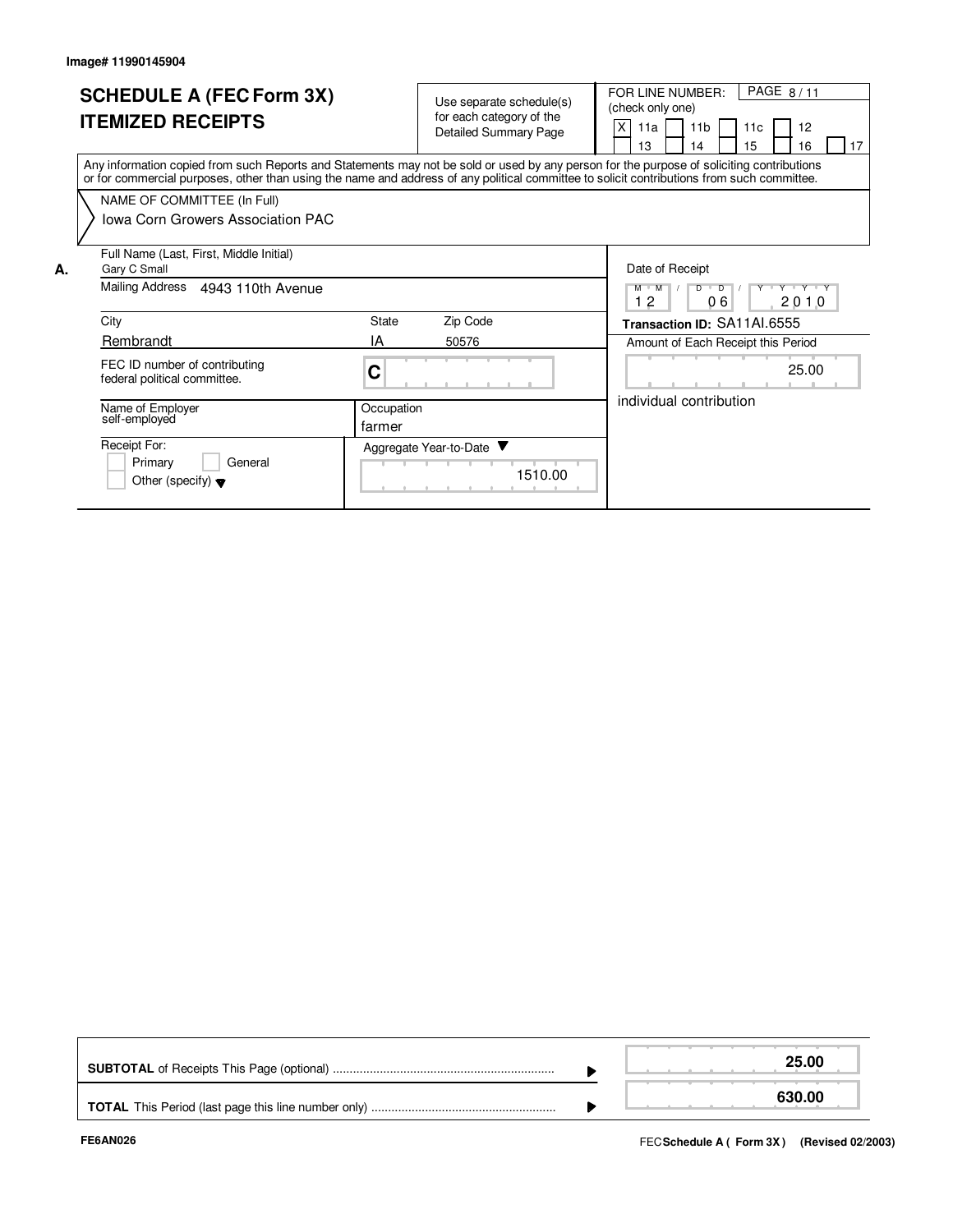|    | <b>SCHEDULE A (FEC Form 3X)</b><br><b>ITEMIZED RECEIPTS</b>                                                                                                                                                                                                                             |                      | Use separate schedule(s)<br>for each category of the<br><b>Detailed Summary Page</b> |         | PAGE 8/11<br>FOR LINE NUMBER:<br>(check only one)<br>X<br>11 <sub>b</sub><br>12<br>11a<br>11c<br>15<br>13<br>17<br>16<br>14 |
|----|-----------------------------------------------------------------------------------------------------------------------------------------------------------------------------------------------------------------------------------------------------------------------------------------|----------------------|--------------------------------------------------------------------------------------|---------|-----------------------------------------------------------------------------------------------------------------------------|
|    | Any information copied from such Reports and Statements may not be sold or used by any person for the purpose of soliciting contributions<br>or for commercial purposes, other than using the name and address of any political committee to solicit contributions from such committee. |                      |                                                                                      |         |                                                                                                                             |
|    | NAME OF COMMITTEE (In Full)                                                                                                                                                                                                                                                             |                      |                                                                                      |         |                                                                                                                             |
|    | Iowa Corn Growers Association PAC                                                                                                                                                                                                                                                       |                      |                                                                                      |         |                                                                                                                             |
| А. | Full Name (Last, First, Middle Initial)<br>Gary C Small                                                                                                                                                                                                                                 |                      |                                                                                      |         | Date of Receipt                                                                                                             |
|    | Mailing Address<br>4943 110th Avenue                                                                                                                                                                                                                                                    |                      |                                                                                      |         | Y Y Y Y Y Y<br>$M$ $M$<br>$D$ $D$ $1$<br>06<br>12<br>2010                                                                   |
|    | City                                                                                                                                                                                                                                                                                    | State                | Zip Code                                                                             |         | Transaction ID: SA11AI.6555                                                                                                 |
|    | Rembrandt                                                                                                                                                                                                                                                                               | IA                   | 50576                                                                                |         | Amount of Each Receipt this Period                                                                                          |
|    | FEC ID number of contributing<br>federal political committee.                                                                                                                                                                                                                           | C                    |                                                                                      |         | 25.00                                                                                                                       |
|    | Name of Employer<br>self-employed                                                                                                                                                                                                                                                       | Occupation<br>farmer |                                                                                      |         | individual contribution                                                                                                     |
|    | Receipt For:<br>Primary<br>General<br>Other (specify) $\blacktriangledown$                                                                                                                                                                                                              |                      | Aggregate Year-to-Date ▼                                                             | 1510.00 |                                                                                                                             |

|  | 25.00  |
|--|--------|
|  | 630.00 |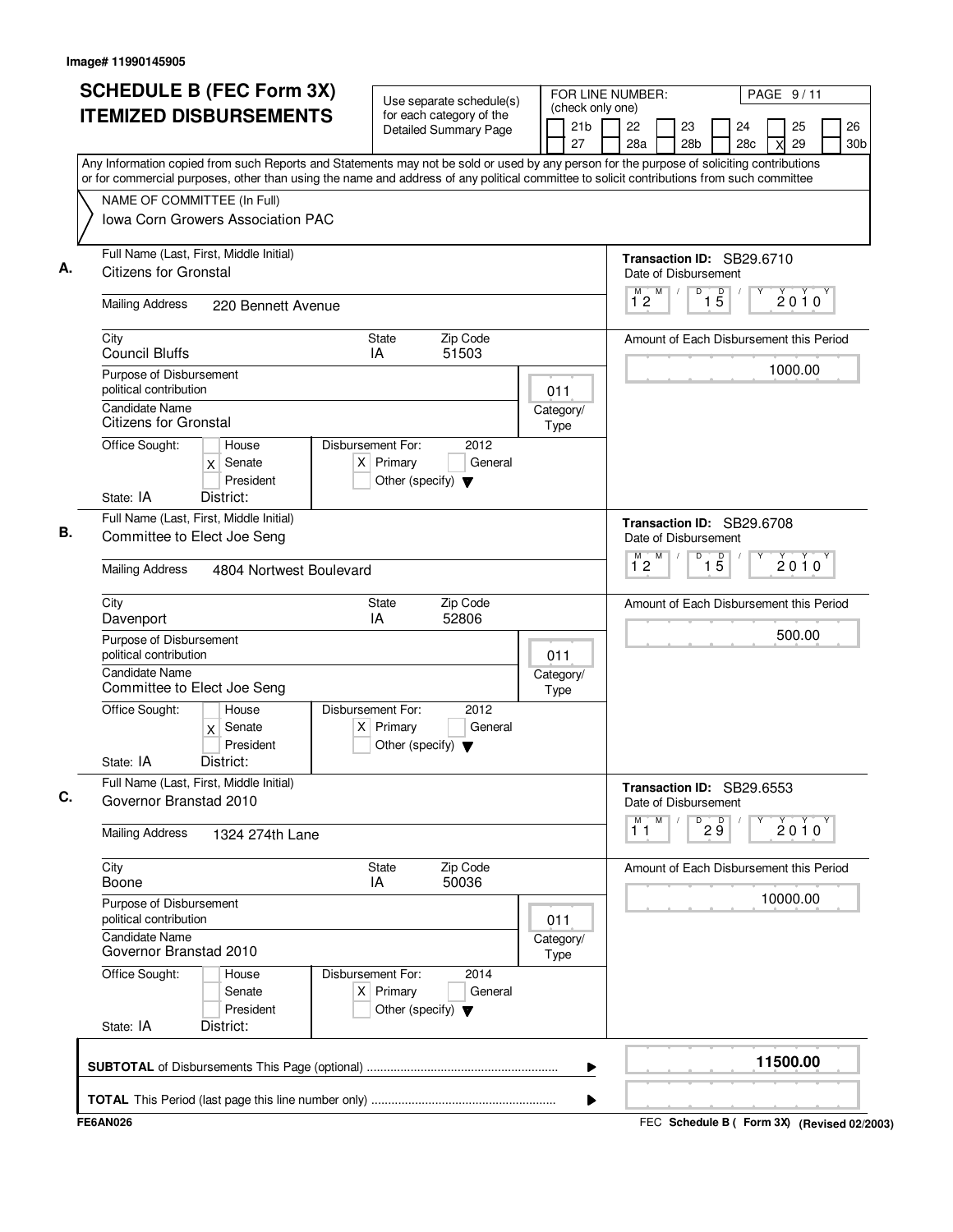| <b>SCHEDULE B (FEC Form 3X)</b><br><b>ITEMIZED DISBURSEMENTS</b> |                                                                        |                                                                                                                                                                                                                                                                                        | Use separate schedule(s) |                                                                          |                                                          |           | (check only one) |                       | FOR LINE NUMBER:<br>PAGE 9/11           |                      |   |                       |                            |                                         |   |          |                       |
|------------------------------------------------------------------|------------------------------------------------------------------------|----------------------------------------------------------------------------------------------------------------------------------------------------------------------------------------------------------------------------------------------------------------------------------------|--------------------------|--------------------------------------------------------------------------|----------------------------------------------------------|-----------|------------------|-----------------------|-----------------------------------------|----------------------|---|-----------------------|----------------------------|-----------------------------------------|---|----------|-----------------------|
|                                                                  |                                                                        |                                                                                                                                                                                                                                                                                        |                          |                                                                          | for each category of the<br><b>Detailed Summary Page</b> |           |                  | 21 <sub>b</sub><br>27 |                                         | 22<br>28a            |   | 23<br>28 <sub>b</sub> |                            | 24<br>28c                               | X | 25<br>29 | 26<br>30 <sub>b</sub> |
|                                                                  |                                                                        | Any Information copied from such Reports and Statements may not be sold or used by any person for the purpose of soliciting contributions<br>or for commercial purposes, other than using the name and address of any political committee to solicit contributions from such committee |                          |                                                                          |                                                          |           |                  |                       |                                         |                      |   |                       |                            |                                         |   |          |                       |
|                                                                  |                                                                        | NAME OF COMMITTEE (In Full)                                                                                                                                                                                                                                                            |                          |                                                                          |                                                          |           |                  |                       |                                         |                      |   |                       |                            |                                         |   |          |                       |
|                                                                  |                                                                        | Iowa Corn Growers Association PAC                                                                                                                                                                                                                                                      |                          |                                                                          |                                                          |           |                  |                       |                                         |                      |   |                       |                            |                                         |   |          |                       |
|                                                                  | <b>Citizens for Gronstal</b>                                           | Full Name (Last, First, Middle Initial)                                                                                                                                                                                                                                                |                          |                                                                          |                                                          |           |                  |                       |                                         | Date of Disbursement |   |                       |                            | Transaction ID: SB29.6710               |   |          |                       |
|                                                                  | <b>Mailing Address</b>                                                 | 220 Bennett Avenue                                                                                                                                                                                                                                                                     |                          |                                                                          |                                                          |           |                  |                       |                                         | M<br>12              | M | D                     | $\overline{1\phantom{1}5}$ |                                         |   | $2010^y$ |                       |
| City                                                             | <b>Council Bluffs</b>                                                  |                                                                                                                                                                                                                                                                                        |                          | State<br>IA                                                              | Zip Code<br>51503                                        |           |                  |                       |                                         |                      |   |                       |                            | Amount of Each Disbursement this Period |   |          |                       |
|                                                                  | Purpose of Disbursement<br>political contribution                      |                                                                                                                                                                                                                                                                                        |                          |                                                                          |                                                          |           | 011              |                       |                                         |                      |   |                       |                            |                                         |   | 1000.00  |                       |
|                                                                  | Candidate Name<br><b>Citizens for Gronstal</b>                         |                                                                                                                                                                                                                                                                                        |                          |                                                                          |                                                          |           | Type             | Category/             |                                         |                      |   |                       |                            |                                         |   |          |                       |
| Office Sought:                                                   |                                                                        | House<br>Senate<br>$\mathsf{x}$<br>President                                                                                                                                                                                                                                           |                          | Disbursement For:<br>$X$ Primary<br>Other (specify) $\blacktriangledown$ | 2012<br>General                                          |           |                  |                       |                                         |                      |   |                       |                            |                                         |   |          |                       |
| State: IA                                                        |                                                                        | District:                                                                                                                                                                                                                                                                              |                          |                                                                          |                                                          |           |                  |                       |                                         |                      |   |                       |                            |                                         |   |          |                       |
|                                                                  | Full Name (Last, First, Middle Initial)<br>Committee to Elect Joe Seng |                                                                                                                                                                                                                                                                                        |                          |                                                                          |                                                          |           |                  |                       |                                         | Date of Disbursement |   |                       |                            | Transaction ID: SB29.6708               |   |          |                       |
|                                                                  | <b>Mailing Address</b><br>4804 Nortwest Boulevard                      |                                                                                                                                                                                                                                                                                        |                          |                                                                          |                                                          |           |                  |                       |                                         | м<br>$1^{\degree}2$  | M | D                     | $\overline{15}$            |                                         |   | 2010     |                       |
| City<br>Davenport                                                |                                                                        |                                                                                                                                                                                                                                                                                        | <b>State</b><br>IA       | Zip Code<br>52806                                                        |                                                          |           |                  |                       | Amount of Each Disbursement this Period |                      |   |                       |                            |                                         |   |          |                       |
|                                                                  | Purpose of Disbursement<br>political contribution                      |                                                                                                                                                                                                                                                                                        |                          |                                                                          |                                                          |           | 011              |                       |                                         |                      |   |                       |                            |                                         |   | 500.00   |                       |
|                                                                  | <b>Candidate Name</b><br>Committee to Elect Joe Seng                   |                                                                                                                                                                                                                                                                                        |                          |                                                                          |                                                          |           | Type             | Category/             |                                         |                      |   |                       |                            |                                         |   |          |                       |
| Office Sought:                                                   |                                                                        | House<br>$x$ Senate<br>President                                                                                                                                                                                                                                                       |                          | Disbursement For:<br>$X$ Primary<br>Other (specify) $\blacktriangledown$ | 2012<br>General                                          |           |                  |                       |                                         |                      |   |                       |                            |                                         |   |          |                       |
| State: IA                                                        |                                                                        | District:                                                                                                                                                                                                                                                                              |                          |                                                                          |                                                          |           |                  |                       |                                         |                      |   |                       |                            |                                         |   |          |                       |
|                                                                  |                                                                        | Full Name (Last, First, Middle Initial)<br>Governor Branstad 2010                                                                                                                                                                                                                      |                          |                                                                          |                                                          |           |                  |                       |                                         | Date of Disbursement |   |                       |                            | Transaction ID: SB29.6553               |   |          |                       |
|                                                                  | <b>Mailing Address</b><br>1324 274th Lane                              |                                                                                                                                                                                                                                                                                        |                          |                                                                          |                                                          |           |                  |                       |                                         | М<br>11              | M | D                     | $2\overset{D}{9}$          |                                         |   | 2010     |                       |
| City<br>Boone                                                    |                                                                        |                                                                                                                                                                                                                                                                                        |                          | State<br>IA                                                              | Zip Code<br>50036                                        |           |                  |                       |                                         |                      |   |                       |                            | Amount of Each Disbursement this Period |   |          |                       |
|                                                                  | Purpose of Disbursement<br>political contribution                      |                                                                                                                                                                                                                                                                                        |                          |                                                                          |                                                          |           | 011              |                       |                                         |                      |   |                       |                            |                                         |   | 10000.00 |                       |
|                                                                  | <b>Candidate Name</b><br>Governor Branstad 2010                        |                                                                                                                                                                                                                                                                                        |                          |                                                                          | Type                                                     | Category/ |                  |                       |                                         |                      |   |                       |                            |                                         |   |          |                       |
| Office Sought:                                                   |                                                                        | House<br>Senate<br>President                                                                                                                                                                                                                                                           |                          | Disbursement For:<br>$X$ Primary<br>Other (specify) $\blacktriangledown$ | 2014<br>General                                          |           |                  |                       |                                         |                      |   |                       |                            |                                         |   |          |                       |
| State: IA                                                        |                                                                        | District:                                                                                                                                                                                                                                                                              |                          |                                                                          |                                                          |           |                  |                       |                                         |                      |   |                       |                            |                                         |   |          |                       |
|                                                                  |                                                                        |                                                                                                                                                                                                                                                                                        |                          |                                                                          |                                                          |           |                  | ▶                     |                                         |                      |   |                       |                            |                                         |   | 11500.00 |                       |
|                                                                  |                                                                        |                                                                                                                                                                                                                                                                                        |                          |                                                                          |                                                          |           |                  | Þ                     |                                         |                      |   |                       |                            |                                         |   |          |                       |
| <b>FAANA00</b>                                                   |                                                                        |                                                                                                                                                                                                                                                                                        |                          |                                                                          |                                                          |           |                  |                       |                                         |                      |   |                       |                            |                                         |   |          |                       |

FEC **Schedule B ( ) Form 3X FE6AN026 (Revised 02/2003)**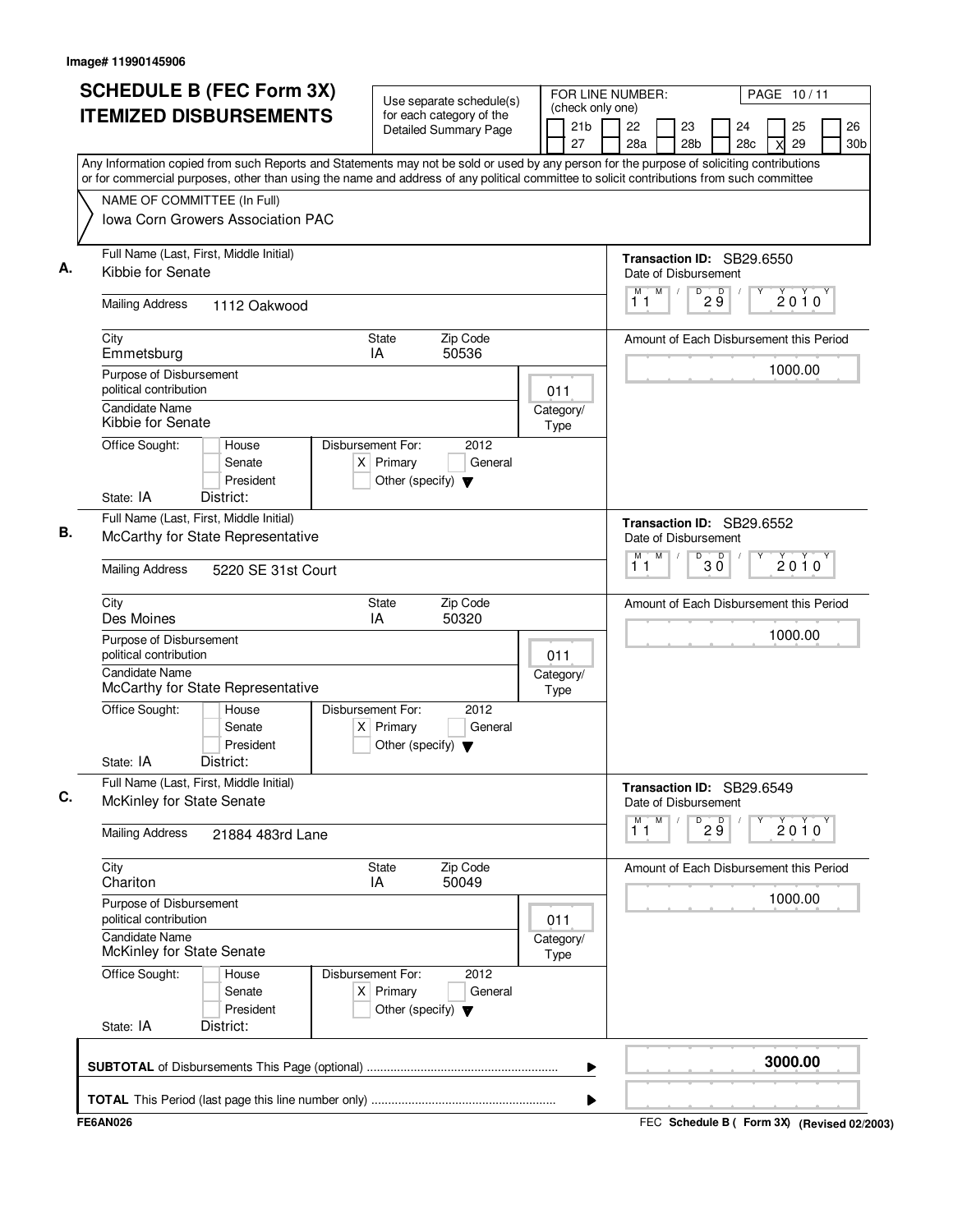| <b>SCHEDULE B (FEC Form 3X)</b>                                                                                                                                                                                                                                                        | Use separate schedule(s)                                                                    |                                         | FOR LINE NUMBER:<br>PAGE 10/11                                                       |  |  |  |  |  |  |  |  |
|----------------------------------------------------------------------------------------------------------------------------------------------------------------------------------------------------------------------------------------------------------------------------------------|---------------------------------------------------------------------------------------------|-----------------------------------------|--------------------------------------------------------------------------------------|--|--|--|--|--|--|--|--|
| <b>ITEMIZED DISBURSEMENTS</b>                                                                                                                                                                                                                                                          | for each category of the<br><b>Detailed Summary Page</b>                                    | (check only one)<br>21b<br>27           | 26<br>22<br>23<br>25<br>24<br>28a<br>28 <sub>b</sub><br>28c<br>29<br>30 <sub>b</sub> |  |  |  |  |  |  |  |  |
| Any Information copied from such Reports and Statements may not be sold or used by any person for the purpose of soliciting contributions<br>or for commercial purposes, other than using the name and address of any political committee to solicit contributions from such committee |                                                                                             |                                         |                                                                                      |  |  |  |  |  |  |  |  |
| NAME OF COMMITTEE (In Full)<br>Iowa Corn Growers Association PAC                                                                                                                                                                                                                       |                                                                                             |                                         |                                                                                      |  |  |  |  |  |  |  |  |
| Full Name (Last, First, Middle Initial)<br>Kibbie for Senate                                                                                                                                                                                                                           |                                                                                             |                                         | Transaction ID: SB29.6550<br>Date of Disbursement                                    |  |  |  |  |  |  |  |  |
| <b>Mailing Address</b><br>1112 Oakwood                                                                                                                                                                                                                                                 |                                                                                             |                                         | M<br>$\sqrt{\frac{D}{2}}\check{g}$<br>M<br>$2010^y$<br>11                            |  |  |  |  |  |  |  |  |
| City<br>Emmetsburg                                                                                                                                                                                                                                                                     | Zip Code<br>State<br>50536<br>IA                                                            |                                         | Amount of Each Disbursement this Period                                              |  |  |  |  |  |  |  |  |
| Purpose of Disbursement<br>political contribution                                                                                                                                                                                                                                      |                                                                                             | 011                                     | 1000.00                                                                              |  |  |  |  |  |  |  |  |
| <b>Candidate Name</b><br>Kibbie for Senate                                                                                                                                                                                                                                             | Disbursement For:<br>2012                                                                   | Category/<br>Type                       |                                                                                      |  |  |  |  |  |  |  |  |
| Office Sought:<br>House<br>Senate<br>President<br>State: IA<br>District:                                                                                                                                                                                                               | $X$ Primary<br>General<br>Other (specify) $\blacktriangledown$                              |                                         |                                                                                      |  |  |  |  |  |  |  |  |
| Full Name (Last, First, Middle Initial)<br>McCarthy for State Representative                                                                                                                                                                                                           |                                                                                             |                                         | Transaction ID: SB29.6552<br>Date of Disbursement                                    |  |  |  |  |  |  |  |  |
| <b>Mailing Address</b><br>5220 SE 31st Court                                                                                                                                                                                                                                           |                                                                                             | M<br>M<br>D<br>D<br>2010<br>зὄ<br>11    |                                                                                      |  |  |  |  |  |  |  |  |
| City<br>Des Moines                                                                                                                                                                                                                                                                     |                                                                                             | Amount of Each Disbursement this Period |                                                                                      |  |  |  |  |  |  |  |  |
| Purpose of Disbursement<br>political contribution                                                                                                                                                                                                                                      | 011                                                                                         | 1000.00                                 |                                                                                      |  |  |  |  |  |  |  |  |
| <b>Candidate Name</b><br>McCarthy for State Representative                                                                                                                                                                                                                             | Category/<br>Type                                                                           |                                         |                                                                                      |  |  |  |  |  |  |  |  |
| Office Sought:<br>House<br>Senate<br>President<br>State: IA<br>District:                                                                                                                                                                                                               | Disbursement For:<br>2012<br>$X$ Primary<br>General<br>Other (specify) $\blacktriangledown$ |                                         |                                                                                      |  |  |  |  |  |  |  |  |
| Full Name (Last, First, Middle Initial)<br>McKinley for State Senate                                                                                                                                                                                                                   |                                                                                             |                                         | Transaction ID: SB29.6549<br>Date of Disbursement                                    |  |  |  |  |  |  |  |  |
| <b>Mailing Address</b><br>21884 483rd Lane                                                                                                                                                                                                                                             |                                                                                             | M<br>М<br>D<br>29<br>2010<br>11         |                                                                                      |  |  |  |  |  |  |  |  |
| City<br>Chariton                                                                                                                                                                                                                                                                       | State<br>Zip Code<br>50049<br>IA                                                            |                                         | Amount of Each Disbursement this Period                                              |  |  |  |  |  |  |  |  |
| Purpose of Disbursement<br>political contribution                                                                                                                                                                                                                                      | 011                                                                                         | 1000.00                                 |                                                                                      |  |  |  |  |  |  |  |  |
| <b>Candidate Name</b><br>McKinley for State Senate                                                                                                                                                                                                                                     | Category/<br>Type                                                                           |                                         |                                                                                      |  |  |  |  |  |  |  |  |
| Office Sought:<br>House<br>Senate<br>President<br>State: IA<br>District:                                                                                                                                                                                                               | Disbursement For:<br>2012<br>$X$ Primary<br>General<br>Other (specify) $\blacktriangledown$ |                                         |                                                                                      |  |  |  |  |  |  |  |  |
|                                                                                                                                                                                                                                                                                        |                                                                                             | ▶                                       | 3000.00                                                                              |  |  |  |  |  |  |  |  |
|                                                                                                                                                                                                                                                                                        |                                                                                             | ▶                                       |                                                                                      |  |  |  |  |  |  |  |  |